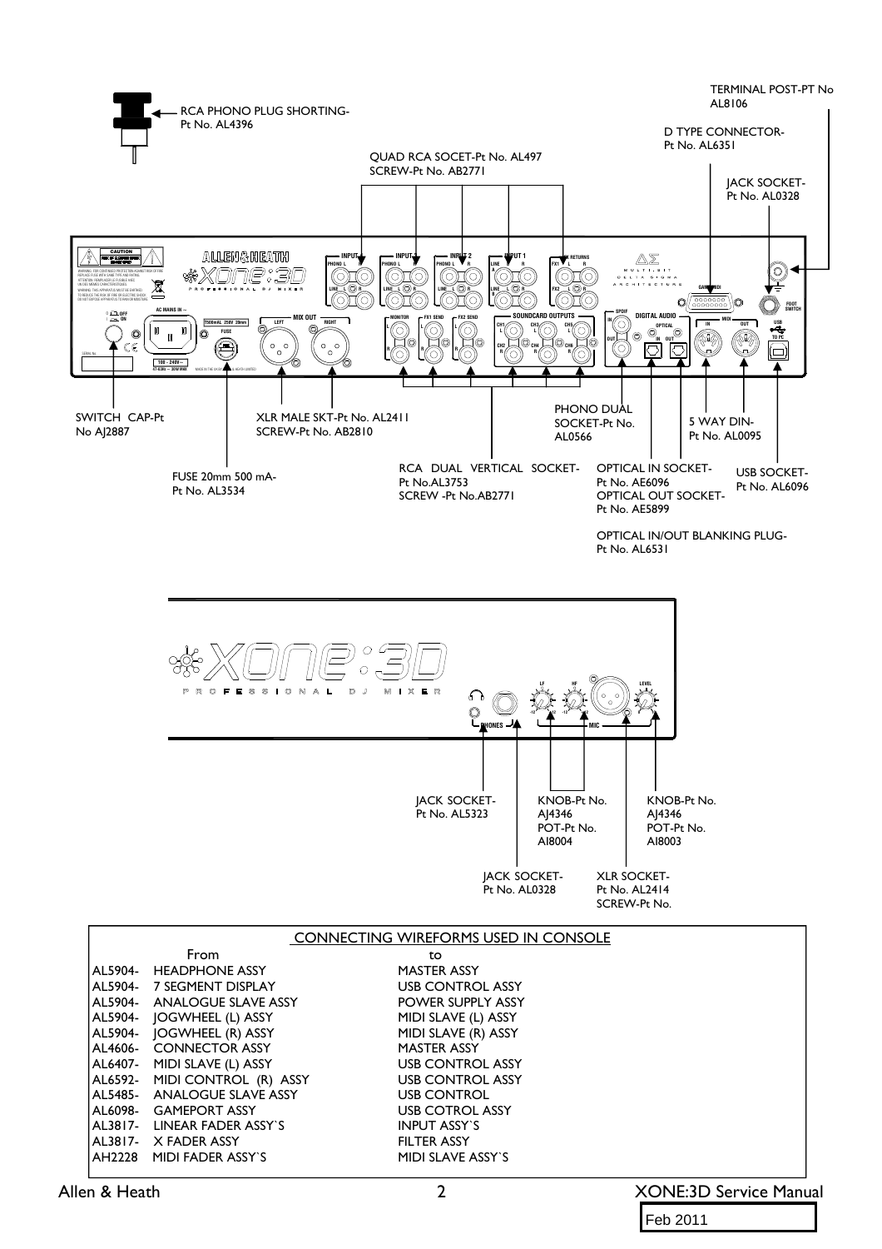